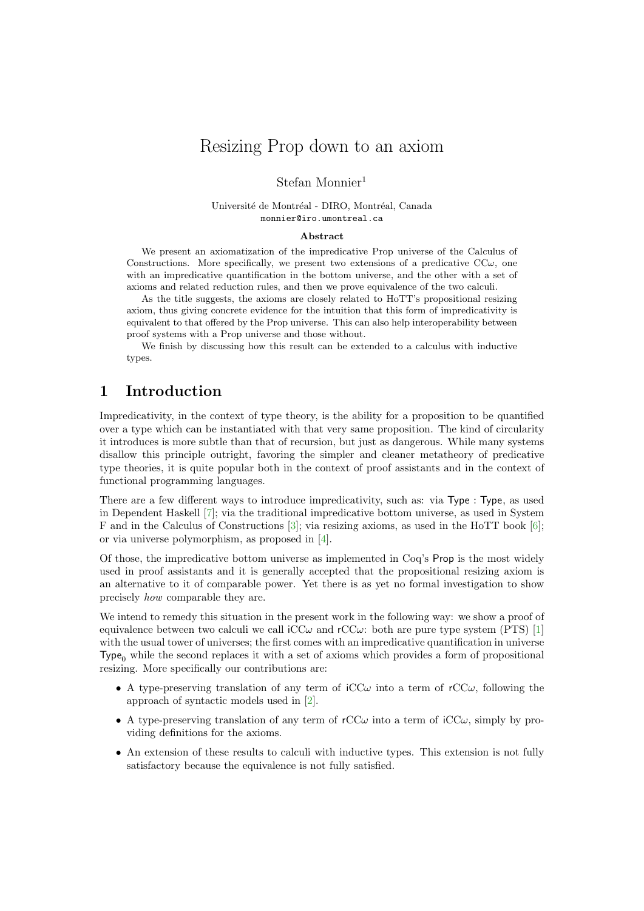# Resizing Prop down to an axiom

### Stefan Monnier<sup>1</sup>

#### Université de Montréal - DIRO, Montréal, Canada monnier@iro.umontreal.ca

#### Abstract

We present an axiomatization of the impredicative Prop universe of the Calculus of Constructions. More specifically, we present two extensions of a predicative  $CC\omega$ , one with an impredicative quantification in the bottom universe, and the other with a set of axioms and related reduction rules, and then we prove equivalence of the two calculi.

As the title suggests, the axioms are closely related to HoTT's propositional resizing axiom, thus giving concrete evidence for the intuition that this form of impredicativity is equivalent to that offered by the Prop universe. This can also help interoperability between proof systems with a Prop universe and those without.

We finish by discussing how this result can be extended to a calculus with inductive types.

### 1 Introduction

Impredicativity, in the context of type theory, is the ability for a proposition to be quantified over a type which can be instantiated with that very same proposition. The kind of circularity it introduces is more subtle than that of recursion, but just as dangerous. While many systems disallow this principle outright, favoring the simpler and cleaner metatheory of predicative type theories, it is quite popular both in the context of proof assistants and in the context of functional programming languages.

There are a few different ways to introduce impredicativity, such as: via Type : Type, as used in Dependent Haskell [\[7\]](#page-2-0); via the traditional impredicative bottom universe, as used in System F and in the Calculus of Constructions [\[3\]](#page-2-1); via resizing axioms, as used in the HoTT book [\[6\]](#page-2-2); or via universe polymorphism, as proposed in [\[4\]](#page-2-3).

Of those, the impredicative bottom universe as implemented in Coq's Prop is the most widely used in proof assistants and it is generally accepted that the propositional resizing axiom is an alternative to it of comparable power. Yet there is as yet no formal investigation to show precisely how comparable they are.

We intend to remedy this situation in the present work in the following way: we show a proof of equivalence between two calculi we call  $\text{iCC}\omega$  and  $\text{rCC}\omega$ : both are pure type system (PTS) [\[1\]](#page-2-4) with the usual tower of universes; the first comes with an impredicative quantification in universe Type<sub>0</sub> while the second replaces it with a set of axioms which provides a form of propositional resizing. More specifically our contributions are:

- A type-preserving translation of any term of  $\mathrm{iCC}\omega$  into a term of  $\mathrm{rCC}\omega$ , following the approach of syntactic models used in [\[2\]](#page-2-5).
- A type-preserving translation of any term of  $rCC\omega$  into a term of  $\mathrm{iCC}\omega$ , simply by providing definitions for the axioms.
- An extension of these results to calculi with inductive types. This extension is not fully satisfactory because the equivalence is not fully satisfied.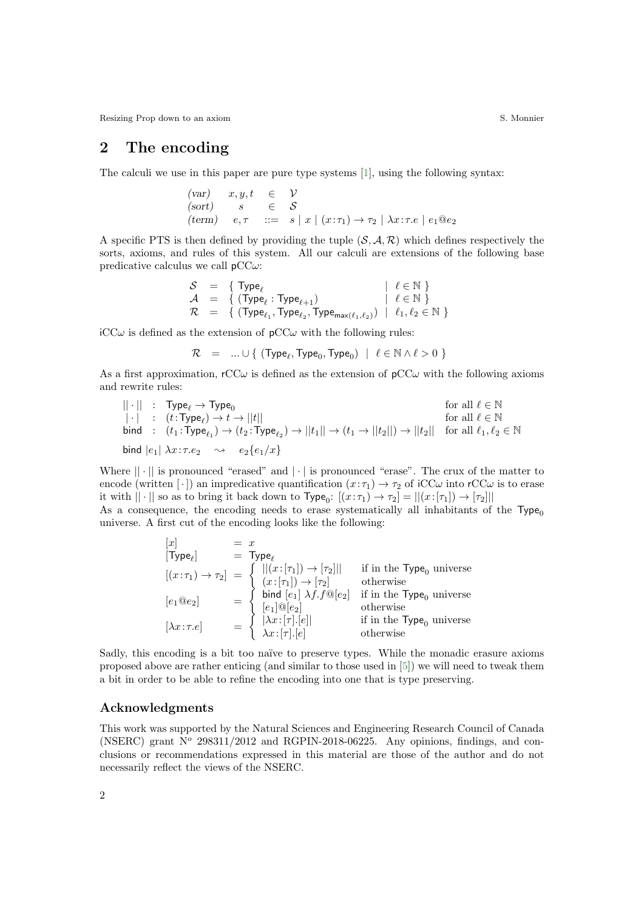Resizing Prop down to an axiom S. Monnier S. Monnier S. Monnier S. Monnier S. Monnier S. Monnier S. Monnier S. Monnier S. Monnier S. Monnier S. Monnier S. Monnier S. Monnier S. Monnier S. Monnier S. Monnier S. Monnier S. M

## 2 The encoding

The calculi we use in this paper are pure type systems [\[1\]](#page-2-4), using the following syntax:

$$
\begin{array}{lll}\n(\text{var}) & x, y, t & \in & \mathcal{V} \\
(\text{sort}) & s & \in & \mathcal{S} \\
(\text{term}) & e, \tau & ::= & s \mid x \mid (x : \tau_1) \to \tau_2 \mid \lambda x : \tau. e \mid e_1 @ e_2\n\end{array}
$$

A specific PTS is then defined by providing the tuple  $(S, \mathcal{A}, \mathcal{R})$  which defines respectively the sorts, axioms, and rules of this system. All our calculi are extensions of the following base predicative calculus we call  $pCC\omega$ :

$$
\begin{array}{lll} \mathcal{S} & = & \{ \begin{array}{l} \mathsf{Type}_{\ell} & \mid & \ell \in \mathbb{N} \end{array} \} \\ \mathcal{A} & = & \{ \begin{array}{l} (\mathsf{Type}_{\ell}: \mathsf{Type}_{\ell+1}) & \mid & \ell \in \mathbb{N} \end{array} \} \\ \mathcal{R} & = & \{ \begin{array}{l} (\mathsf{Type}_{\ell_1}, \mathsf{Type}_{\ell_2}, \mathsf{Type}_{\max(\ell_1, \ell_2)}) & \mid & \ell_1, \ell_2 \in \mathbb{N} \end{array} \} \end{array}
$$

 $iCC\omega$  is defined as the extension of  $pCC\omega$  with the following rules:

$$
\mathcal{R} \quad = \quad ... \cup \{ \ (\mathsf{Type}_{\ell}, \mathsf{Type}_{0}, \mathsf{Type}_{0}) \ \mid \ \ell \in \mathbb{N} \wedge \ell > 0 \ \}
$$

As a first approximation,  $rCC\omega$  is defined as the extension of  $pCC\omega$  with the following axioms and rewrite rules:

$$
\begin{array}{llll} ||\cdot||&:&\text{Type}_{\ell}\to\text{Type}_{0} & \text{for all }\ell\in\mathbb{N}\\ |\cdot|&:&(t\colon\text{Type}_{\ell})\to t\to||t|| & \text{for all }\ell\in\mathbb{N}\\ \text{bind}&:&(t_1\colon\text{Type}_{\ell_1})\to(t_2\colon\text{Type}_{\ell_2})\to||t_1||\to(t_1\to||t_2||)\to||t_2|| & \text{for all }\ell_1,\ell_2\in\mathbb{N}\\ \text{bind}\ |e_1|\ \lambda x:\tau.e_2&\sim&e_2\{e_1/x\} \end{array}
$$

Where  $|| \cdot ||$  is pronounced "erased" and  $|| \cdot ||$  is pronounced "erase". The crux of the matter to encode (written [ $\cdot$ ]) an impredicative quantification  $(x:\tau_1) \to \tau_2$  of iCC $\omega$  into rCC $\omega$  is to erase it with  $|| \cdot ||$  so as to bring it back down to  $Type_0$ :  $[(x:\tau_1) \to \tau_2] = ||(x:[\tau_1]) \to [\tau_2]||$ As a consequence, the encoding needs to erase systematically all inhabitants of the  $Type<sub>0</sub>$ 

universe. A first cut of the encoding looks like the following:

| $[x]$                             | $= x$                                                                                                                                                                   |
|-----------------------------------|-------------------------------------------------------------------------------------------------------------------------------------------------------------------------|
| $[\text{Type}_{\ell}]$            | $= \text{Type}_{\ell}$                                                                                                                                                  |
| $[(x:\tau_1) \rightarrow \tau_2]$ | $= \begin{cases}   (x:[\tau_1]) \rightarrow [\tau_2]    & \text{if in the Type}_0 \text{ universe} \\ (x:[\tau_1]) \rightarrow [\tau_2] & \text{otherwise} \end{cases}$ |
| $[e_1@e_2]$                       | $= \begin{cases} \text{bind } [e_1] \lambda f.f@[e_2] & \text{if in the Type}_0 \text{ universe} \\ [e_1]@[e_2] & \text{otherwise} \end{cases}$                         |
| $[\lambda x:\tau.e]$              | $= \begin{cases}  \lambda x:[\tau],[e]  & \text{if in the Type}_0 \text{ universe} \\ \lambda x:[\tau],[e] & \text{otherwise} \end{cases}$                              |

Sadly, this encoding is a bit too naïve to preserve types. While the monadic erasure axioms proposed above are rather enticing (and similar to those used in [\[5\]](#page-2-6)) we will need to tweak them a bit in order to be able to refine the encoding into one that is type preserving.

#### Acknowledgments

This work was supported by the Natural Sciences and Engineering Research Council of Canada (NSERC) grant  $N^{\circ}$  298311/2012 and RGPIN-2018-06225. Any opinions, findings, and conclusions or recommendations expressed in this material are those of the author and do not necessarily reflect the views of the NSERC.